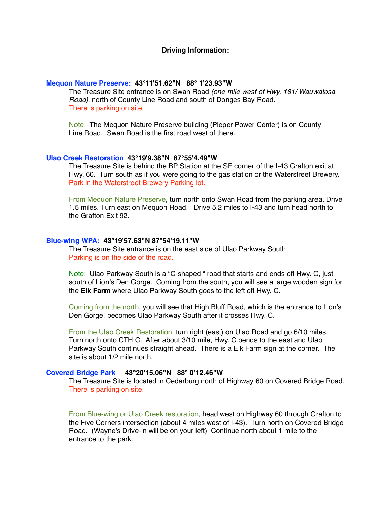#### **Driving Information:**

#### **Mequon Nature Preserve: 43°11'51.62"N 88° 1'23.93"W**

The Treasure Site entrance is on Swan Road *(one mile west of Hwy. 181/ Wauwatosa Road)*, north of County Line Road and south of Donges Bay Road. There is parking on site.

Note: The Mequon Nature Preserve building (Pieper Power Center) is on County Line Road. Swan Road is the first road west of there.

## **Ulao Creek Restoration 43°19'9.38"N 87°55'4.49"W**

The Treasure Site is behind the BP Station at the SE corner of the I-43 Grafton exit at Hwy. 60. Turn south as if you were going to the gas station or the Waterstreet Brewery. Park in the Waterstreet Brewery Parking lot.

From Mequon Nature Preserve, turn north onto Swan Road from the parking area. Drive 1.5 miles. Turn east on Mequon Road. Drive 5.2 miles to I-43 and turn head north to the Grafton Exit 92.

## **Blue-wing WPA: 43°19'57.63"N 87°54'19.11"W**

The Treasure Site entrance is on the east side of Ulao Parkway South. Parking is on the side of the road.

Note: Ulao Parkway South is a "C-shaped" road that starts and ends off Hwy. C, just south of Lion's Den Gorge. Coming from the south, you will see a large wooden sign for the **Elk Farm** where Ulao Parkway South goes to the left off Hwy. C.

Coming from the north, you will see that High Bluff Road, which is the entrance to Lion's Den Gorge, becomes Ulao Parkway South after it crosses Hwy. C.

From the Ulao Creek Restoration, turn right (east) on Ulao Road and go 6/10 miles. Turn north onto CTH C. After about 3/10 mile, Hwy. C bends to the east and Ulao Parkway South continues straight ahead. There is a Elk Farm sign at the corner. The site is about 1/2 mile north.

## **Covered Bridge Park 43°20'15.06"N 88° 0'12.46"W**

The Treasure Site is located in Cedarburg north of Highway 60 on Covered Bridge Road. There is parking on site.

From Blue-wing or Ulao Creek restoration, head west on Highway 60 through Grafton to the Five Corners intersection (about 4 miles west of I-43). Turn north on Covered Bridge Road. (Wayne's Drive-in will be on your left) Continue north about 1 mile to the entrance to the park.